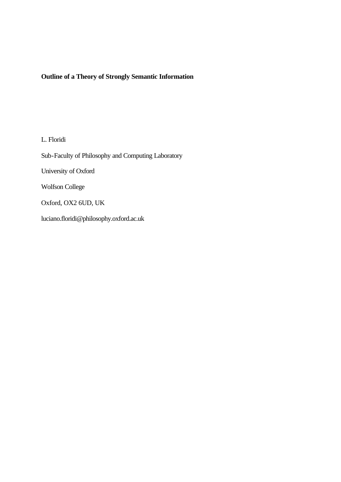# **Outline of a Theory of Strongly Semantic Information**

L. Floridi

Sub-Faculty of Philosophy and Computing Laboratory

University of Oxford

Wolfson College

Oxford, OX2 6UD, UK

luciano.floridi@philosophy.oxford.ac.uk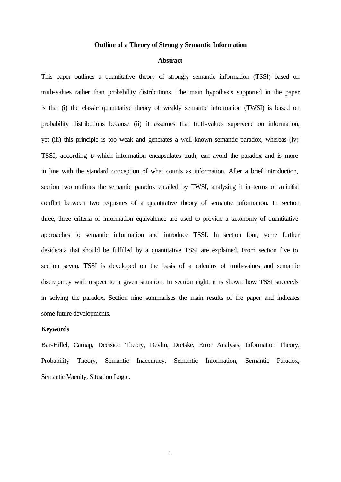#### **Outline of a Theory of Strongly Semantic Information**

### **Abstract**

This paper outlines a quantitative theory of strongly semantic information (TSSI) based on truth-values rather than probability distributions. The main hypothesis supported in the paper is that (i) the classic quantitative theory of weakly semantic information (TWSI) is based on probability distributions because (ii) it assumes that truth-values supervene on information, yet (iii) this principle is too weak and generates a well-known semantic paradox, whereas (iv) TSSI, according to which information encapsulates truth, can avoid the paradox and is more in line with the standard conception of what counts as information. After a brief introduction, section two outlines the semantic paradox entailed by TWSI, analysing it in terms of an initial conflict between two requisites of a quantitative theory of semantic information. In section three, three criteria of information equivalence are used to provide a taxonomy of quantitative approaches to semantic information and introduce TSSI. In section four, some further desiderata that should be fulfilled by a quantitative TSSI are explained. From section five to section seven, TSSI is developed on the basis of a calculus of truth-values and semantic discrepancy with respect to a given situation. In section eight, it is shown how TSSI succeeds in solving the paradox. Section nine summarises the main results of the paper and indicates some future developments.

# **Keywords**

Bar-Hillel, Carnap, Decision Theory, Devlin, Dretske, Error Analysis, Information Theory, Probability Theory, Semantic Inaccuracy, Semantic Information, Semantic Paradox, Semantic Vacuity, Situation Logic.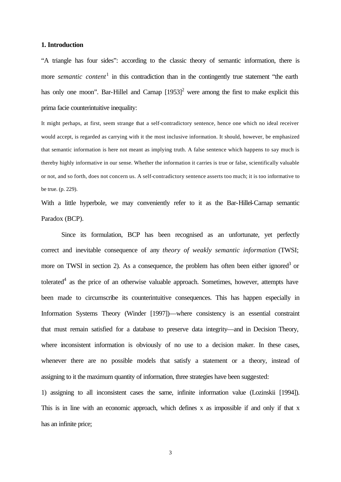### **1. Introduction**

"A triangle has four sides": according to the classic theory of semantic information, there is more *semantic content*<sup>1</sup> in this contradiction than in the contingently true statement "the earth has only one moon". Bar-Hillel and Carnap  $[1953]^2$  were among the first to make explicit this prima facie counterintuitive inequality:

It might perhaps, at first, seem strange that a self-contradictory sentence, hence one which no ideal receiver would accept, is regarded as carrying with it the most inclusive information. It should, however, be emphasized that semantic information is here not meant as implying truth. A false sentence which happens to say much is thereby highly informative in our sense. Whether the information it carries is true or false, scientifically valuable or not, and so forth, does not concern us. A self-contradictory sentence asserts too much; it is too informative to be true. (p. 229).

With a little hyperbole, we may conveniently refer to it as the Bar-Hillel-Carnap semantic Paradox (BCP).

Since its formulation, BCP has been recognised as an unfortunate, yet perfectly correct and inevitable consequence of any *theory of weakly semantic information* (TWSI; more on TWSI in section 2). As a consequence, the problem has often been either ignored<sup>3</sup> or tolerated<sup>4</sup> as the price of an otherwise valuable approach. Sometimes, however, attempts have been made to circumscribe its counterintuitive consequences. This has happen especially in Information Systems Theory (Winder [1997])—where consistency is an essential constraint that must remain satisfied for a database to preserve data integrity—and in Decision Theory, where inconsistent information is obviously of no use to a decision maker. In these cases, whenever there are no possible models that satisfy a statement or a theory, instead of assigning to it the maximum quantity of information, three strategies have been suggested:

1) assigning to all inconsistent cases the same, infinite information value (Lozinskii [1994]). This is in line with an economic approach, which defines x as impossible if and only if that x has an infinite price;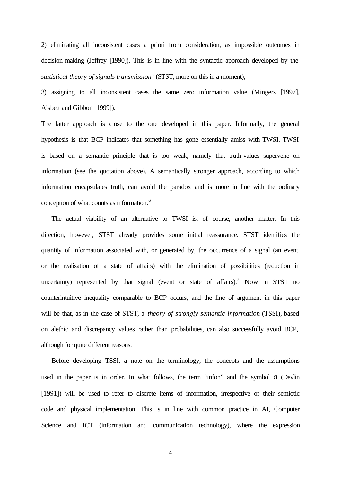2) eliminating all inconsistent cases a priori from consideration, as impossible outcomes in decision-making (Jeffrey [1990]). This is in line with the syntactic approach developed by the *statistical theory of signals transmission*<sup>5</sup> (STST, more on this in a moment);

3) assigning to all inconsistent cases the same zero information value (Mingers [1997], Aisbett and Gibbon [1999]).

The latter approach is close to the one developed in this paper. Informally, the general hypothesis is that BCP indicates that something has gone essentially amiss with TWSI. TWSI is based on a semantic principle that is too weak, namely that truth-values supervene on information (see the quotation above). A semantically stronger approach, according to which information encapsulates truth, can avoid the paradox and is more in line with the ordinary conception of what counts as information.<sup>6</sup>

The actual viability of an alternative to TWSI is, of course, another matter. In this direction, however, STST already provides some initial reassurance. STST identifies the quantity of information associated with, or generated by, the occurrence of a signal (an event or the realisation of a state of affairs) with the elimination of possibilities (reduction in uncertainty) represented by that signal (event or state of affairs).<sup>7</sup> Now in STST no counterintuitive inequality comparable to BCP occurs, and the line of argument in this paper will be that, as in the case of STST, a *theory of strongly semantic information* (TSSI), based on alethic and discrepancy values rather than probabilities, can also successfully avoid BCP, although for quite different reasons.

Before developing TSSI, a note on the terminology, the concepts and the assumptions used in the paper is in order. In what follows, the term "infon" and the symbol  $\sigma$  (Devlin [1991]) will be used to refer to discrete items of information, irrespective of their semiotic code and physical implementation. This is in line with common practice in AI, Computer Science and ICT (information and communication technology), where the expression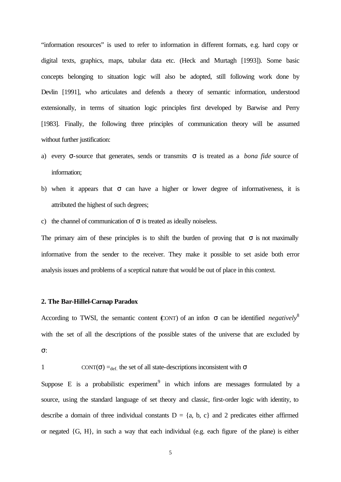"information resources" is used to refer to information in different formats, e.g. hard copy or digital texts, graphics, maps, tabular data etc. (Heck and Murtagh [1993]). Some basic concepts belonging to situation logic will also be adopted, still following work done by Devlin [1991], who articulates and defends a theory of semantic information, understood extensionally, in terms of situation logic principles first developed by Barwise and Perry [1983]. Finally, the following three principles of communication theory will be assumed without further justification:

- a) every σ-source that generates, sends or transmits σ is treated as a *bona fide* source of information;
- b) when it appears that  $\sigma$  can have a higher or lower degree of informativeness, it is attributed the highest of such degrees;
- c) the channel of communication of  $\sigma$  is treated as ideally noiseless.

The primary aim of these principles is to shift the burden of proving that  $\sigma$  is not maximally informative from the sender to the receiver. They make it possible to set aside both error analysis issues and problems of a sceptical nature that would be out of place in this context.

#### **2. The Bar-Hillel-Carnap Paradox**

According to TWSI, the semantic content (CONT) of an infon  $\sigma$  can be identified *negatively*<sup>8</sup> with the set of all the descriptions of the possible states of the universe that are excluded by σ:

```
1 CONT(\sigma) = def. the set of all state-descriptions inconsistent with \sigma
```
Suppose E is a probabilistic experiment  $9$  in which infons are messages formulated by a source, using the standard language of set theory and classic, first-order logic with identity, to describe a domain of three individual constants  $D = \{a, b, c\}$  and 2 predicates either affirmed or negated {G, H}, in such a way that each individual (e.g. each figure of the plane) is either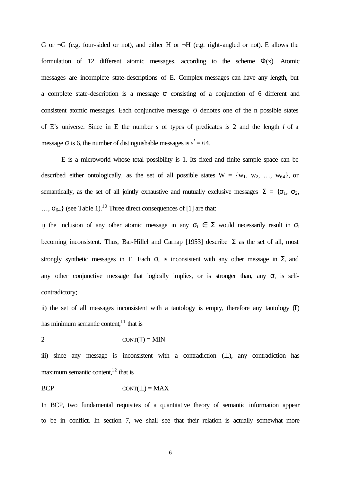G or  $\neg G$  (e.g. four-sided or not), and either H or  $\neg H$  (e.g. right-angled or not). E allows the formulation of 12 different atomic messages, according to the scheme  $\Phi(x)$ . Atomic messages are incomplete state-descriptions of E. Complex messages can have any length, but a complete state-description is a message  $\sigma$  consisting of a conjunction of 6 different and consistent atomic messages. Each conjunctive message  $\sigma$  denotes one of the n possible states of E's universe. Since in E the number *s* of types of predicates is 2 and the length *l* of a message  $\sigma$  is 6, the number of distinguishable messages is  $s^l = 64$ .

E is a microworld whose total possibility is 1. Its fixed and finite sample space can be described either ontologically, as the set of all possible states  $W = \{w_1, w_2, ..., w_{64}\}\$ , or semantically, as the set of all jointly exhaustive and mutually exclusive messages  $\Sigma = {\sigma_1, \sigma_2}$ ,  $..., \sigma_{64}$ } (see Table 1).<sup>10</sup> Three direct consequences of [1] are that:

i) the inclusion of any other atomic message in any  $\sigma_i \in \Sigma$  would necessarily result in  $\sigma_i$ becoming inconsistent. Thus, Bar-Hillel and Carnap [1953] describe  $\Sigma$  as the set of all, most strongly synthetic messages in E. Each  $\sigma_i$  is inconsistent with any other message in  $\Sigma$ , and any other conjunctive message that logically implies, or is stronger than, any  $\sigma_i$  is selfcontradictory;

ii) the set of all messages inconsistent with a tautology is empty, therefore any tautology  $(T)$ has minimum semantic content, $11$  that is

$$
2 \qquad \qquad \text{CONT}(\mathsf{T}) = \text{MIN}
$$

iii) since any message is inconsistent with a contradiction  $(⊥)$ , any contradiction has maximum semantic content,  $12$  that is

# $BCP$   $CONT(\perp) = MAX$

In BCP, two fundamental requisites of a quantitative theory of semantic information appear to be in conflict. In section 7, we shall see that their relation is actually somewhat more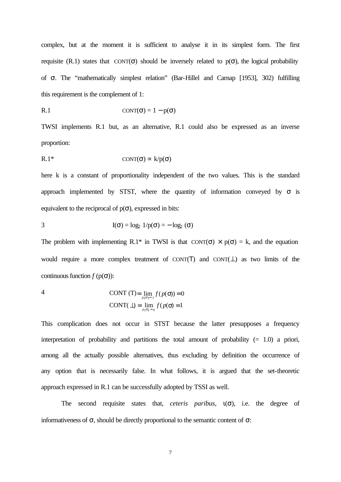complex, but at the moment it is sufficient to analyse it in its simplest form. The first requisite (R.1) states that CONT( $\sigma$ ) should be inversely related to  $p(\sigma)$ , the logical probability of σ. The "mathematically simplest relation" (Bar-Hillel and Carnap [1953], 302) fulfilling this requirement is the complement of 1:

R.1 
$$
CONF(\sigma) = 1 - p(\sigma)
$$

TWSI implements R.1 but, as an alternative, R.1 could also be expressed as an inverse proportion:

R.1\* CONT(σ) ∝ k/p(σ)

here k is a constant of proportionality independent of the two values. This is the standard approach implemented by STST, where the quantity of information conveyed by  $\sigma$  is equivalent to the reciprocal of  $p(\sigma)$ , expressed in bits:

$$
I(\sigma) = \log_2 1/p(\sigma) = -\log_2 (\sigma)
$$

The problem with implementing R.1\* in TWSI is that  $CONT(\sigma) \times p(\sigma) = k$ , and the equation would require a more complex treatment of CONT(T) and CONT $(L)$  as two limits of the continuous function  $f(p(\sigma))$ :

$$
\text{CONT(T)} = \lim_{p(\sigma) \to 1} f(p(\sigma)) = 0
$$
\n
$$
\text{CONT}(\bot) = \lim_{p(\sigma) \to 0} f(p(\sigma) = 1)
$$

This complication does not occur in STST because the latter presupposes a frequency interpretation of probability and partitions the total amount of probability  $(= 1.0)$  a priori, among all the actually possible alternatives, thus excluding by definition the occurrence of any option that is necessarily false. In what follows, it is argued that the set-theoretic approach expressed in R.1 can be successfully adopted by TSSI as well.

The second requisite states that, *ceteris paribus*,  $\iota(\sigma)$ , i.e. the degree of informativeness of  $\sigma$ , should be directly proportional to the semantic content of  $\sigma$ :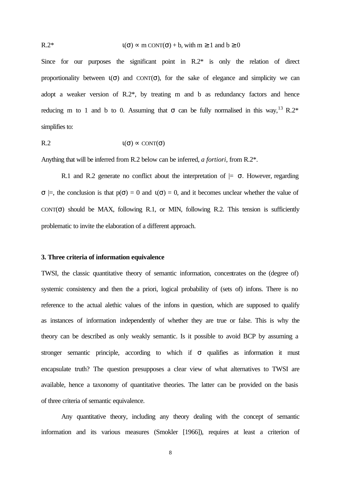R.2\* 
$$
t(\sigma) \propto m \text{ CONT}(\sigma) + b
$$
, with  $m \ge 1$  and  $b \ge 0$ 

Since for our purposes the significant point in R.2\* is only the relation of direct proportionality between  $\iota(\sigma)$  and CONT( $\sigma$ ), for the sake of elegance and simplicity we can adopt a weaker version of R.2\*, by treating m and b as redundancy factors and hence reducing m to 1 and b to 0. Assuming that  $\sigma$  can be fully normalised in this way,<sup>13</sup> R.2\* simplifies to:

$$
R.2 \t\t t(\sigma) \propto \text{CONT}(\sigma)
$$

Anything that will be inferred from R.2 below can be inferred, *a fortiori*, from R.2\*.

R.1 and R.2 generate no conflict about the interpretation of  $| = \sigma$ . However, regarding  $\sigma$   $\models$ , the conclusion is that  $p(\sigma) = 0$  and  $t(\sigma) = 0$ , and it becomes unclear whether the value of CONT( $\sigma$ ) should be MAX, following R.1, or MIN, following R.2. This tension is sufficiently problematic to invite the elaboration of a different approach.

## **3. Three criteria of information equivalence**

TWSI, the classic quantitative theory of semantic information, concentrates on the (degree of) systemic consistency and then the a priori, logical probability of (sets of) infons. There is no reference to the actual alethic values of the infons in question, which are supposed to qualify as instances of information independently of whether they are true or false. This is why the theory can be described as only weakly semantic. Is it possible to avoid BCP by assuming a stronger semantic principle, according to which if  $\sigma$  qualifies as information it must encapsulate truth? The question presupposes a clear view of what alternatives to TWSI are available, hence a taxonomy of quantitative theories. The latter can be provided on the basis of three criteria of semantic equivalence.

Any quantitative theory, including any theory dealing with the concept of semantic information and its various measures (Smokler [1966]), requires at least a criterion of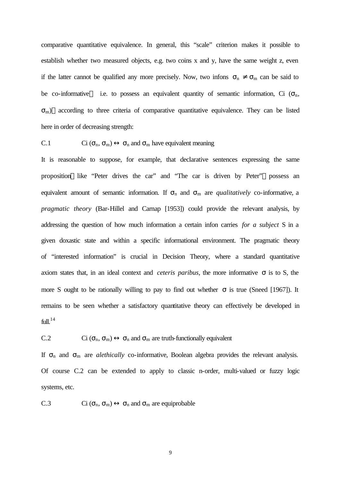comparative quantitative equivalence. In general, this "scale" criterion makes it possible to establish whether two measured objects, e.g. two coins x and y, have the same weight z, even if the latter cannot be qualified any more precisely. Now, two infons  $\sigma_n \neq \sigma_m$  can be said to be co-informative i.e. to possess an equivalent quantity of semantic information, Ci  $(\sigma_n,$  $\sigma_{\rm m}$ )—according to three criteria of comparative quantitative equivalence. They can be listed here in order of decreasing strength:

C.1 Ci 
$$
(\sigma_n, \sigma_m) \leftrightarrow \sigma_n
$$
 and  $\sigma_m$  have equivalent meaning

It is reasonable to suppose, for example, that declarative sentences expressing the same proposition—like "Peter drives the car" and "The car is driven by Peter"—possess an equivalent amount of semantic information. If  $\sigma_n$  and  $\sigma_m$  are *qualitatively* co-informative, a *pragmatic theory* (Bar-Hillel and Carnap [1953]) could provide the relevant analysis, by addressing the question of how much information a certain infon carries *for a subject* S in a given doxastic state and within a specific informational environment. The pragmatic theory of "interested information" is crucial in Decision Theory, where a standard quantitative axiom states that, in an ideal context and *ceteris paribus*, the more informative  $\sigma$  is to S, the more S ought to be rationally willing to pay to find out whether  $\sigma$  is true (Sneed [1967]). It remains to be seen whether a satisfactory quantitative theory can effectively be developed in  $full.<sup>14</sup>$ 

C.2 Ci 
$$
(\sigma_n, \sigma_m) \leftrightarrow \sigma_n
$$
 and  $\sigma_m$  are truth-functionally equivalent

If  $\sigma_n$  and  $\sigma_m$  are *alethically* co-informative, Boolean algebra provides the relevant analysis. Of course C.2 can be extended to apply to classic n-order, multi-valued or fuzzy logic systems, etc.

C.3 Ci  $(\sigma_n, \sigma_m) \leftrightarrow \sigma_n$  and  $\sigma_m$  are equiprobable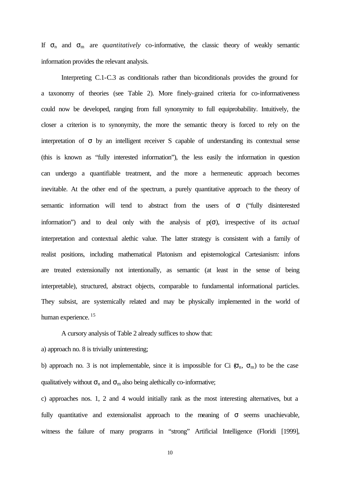If  $\sigma_n$  and  $\sigma_m$  are *quantitatively* co-informative, the classic theory of weakly semantic information provides the relevant analysis.

Interpreting C.1-C.3 as conditionals rather than biconditionals provides the ground for a taxonomy of theories (see Table 2). More finely-grained criteria for co-informativeness could now be developed, ranging from full synonymity to full equiprobability. Intuitively, the closer a criterion is to synonymity, the more the semantic theory is forced to rely on the interpretation of  $\sigma$  by an intelligent receiver S capable of understanding its contextual sense (this is known as "fully interested information"), the less easily the information in question can undergo a quantifiable treatment, and the more a hermeneutic approach becomes inevitable. At the other end of the spectrum, a purely quantitative approach to the theory of semantic information will tend to abstract from the users of σ ("fully disinterested information") and to deal only with the analysis of p(σ), irrespective of its *actual* interpretation and contextual alethic value. The latter strategy is consistent with a family of realist positions, including mathematical Platonism and epistemological Cartesianism: infons are treated extensionally not intentionally, as semantic (at least in the sense of being interpretable), structured, abstract objects, comparable to fundamental informational particles. They subsist, are systemically related and may be physically implemented in the world of human experience.<sup>15</sup>

A cursory analysis of Table 2 already suffices to show that:

a) approach no. 8 is trivially uninteresting;

b) approach no. 3 is not implementable, since it is impossible for Ci  $(\sigma_n, \sigma_m)$  to be the case qualitatively without  $\sigma_n$  and  $\sigma_m$  also being alethically co-informative;

c) approaches nos. 1, 2 and 4 would initially rank as the most interesting alternatives, but a fully quantitative and extensionalist approach to the meaning of  $\sigma$  seems unachievable, witness the failure of many programs in "strong" Artificial Intelligence (Floridi [1999],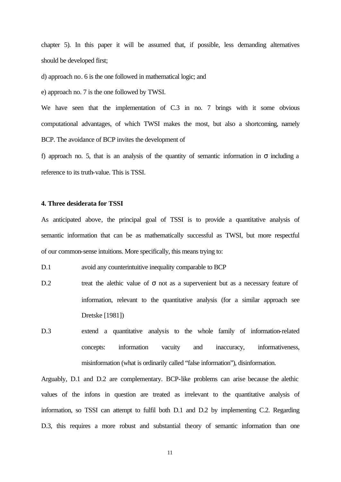chapter 5). In this paper it will be assumed that, if possible, less demanding alternatives should be developed first;

d) approach no. 6 is the one followed in mathematical logic; and

e) approach no. 7 is the one followed by TWSI.

We have seen that the implementation of C.3 in no. 7 brings with it some obvious computational advantages, of which TWSI makes the most, but also a shortcoming, namely BCP. The avoidance of BCP invites the development of

f) approach no. 5, that is an analysis of the quantity of semantic information in  $\sigma$  including a reference to its truth-value. This is TSSI.

#### **4. Three desiderata for TSSI**

As anticipated above, the principal goal of TSSI is to provide a quantitative analysis of semantic information that can be as mathematically successful as TWSI, but more respectful of our common-sense intuitions. More specifically, this means trying to:

D.1 avoid any counterintuitive inequality comparable to BCP

- D.2 treat the alethic value of  $\sigma$  not as a supervenient but as a necessary feature of information, relevant to the quantitative analysis (for a similar approach see Dretske [1981])
- D.3 extend a quantitative analysis to the whole family of information-related concepts: information vacuity and inaccuracy, informativeness, misinformation (what is ordinarily called "false information"), disinformation.

Arguably, D.1 and D.2 are complementary. BCP-like problems can arise because the alethic values of the infons in question are treated as irrelevant to the quantitative analysis of information, so TSSI can attempt to fulfil both D.1 and D.2 by implementing C.2. Regarding D.3, this requires a more robust and substantial theory of semantic information than one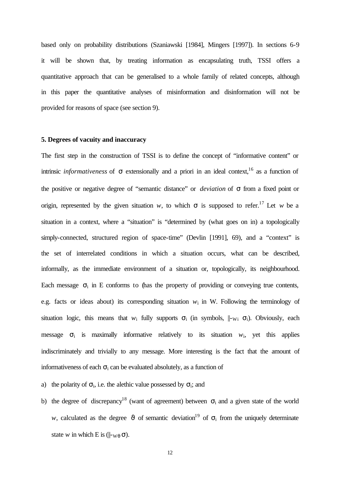based only on probability distributions (Szaniawski [1984], Mingers [1997]). In sections 6-9 it will be shown that, by treating information as encapsulating truth, TSSI offers a quantitative approach that can be generalised to a whole family of related concepts, although in this paper the quantitative analyses of misinformation and disinformation will not be provided for reasons of space (see section 9).

## **5. Degrees of vacuity and inaccuracy**

The first step in the construction of TSSI is to define the concept of "informative content" or intrinsic *informativeness* of  $\sigma$  extensionally and a priori in an ideal context,<sup>16</sup> as a function of the positive or negative degree of "semantic distance" or *deviation* of σ from a fixed point or origin, represented by the given situation *w*, to which  $\sigma$  is supposed to refer.<sup>17</sup> Let *w* be a situation in a context, where a "situation" is "determined by (what goes on in) a topologically simply-connected, structured region of space-time" (Devlin [1991], 69), and a "context" is the set of interrelated conditions in which a situation occurs, what can be described, informally, as the immediate environment of a situation or, topologically, its neighbourhood. Each message  $\sigma_i$  in E conforms to (has the property of providing or conveying true contents, e.g. facts or ideas about) its corresponding situation  $w_i$  in W. Following the terminology of situation logic, this means that  $w_i$  fully supports  $\sigma_i$  (in symbols,  $\|w_i \sigma_i\|$ ). Obviously, each message  $\sigma_i$  is maximally informative relatively to its situation  $w_i$ , yet this applies indiscriminately and trivially to any message. More interesting is the fact that the amount of informativeness of each  $\sigma_i$  can be evaluated absolutely, as a function of

a) the polarity of  $\sigma_i$ , i.e. the alethic value possessed by  $\sigma_i$ ; and

b) the degree of discrepancy<sup>18</sup> (want of agreement) between  $\sigma_i$  and a given state of the world *w*, calculated as the degree  $\vartheta$  of semantic deviation<sup>19</sup> of  $\sigma_i$  from the uniquely determinate state *w* in which E is ( $\|$ -w $_{\theta}$   $\sigma$ ).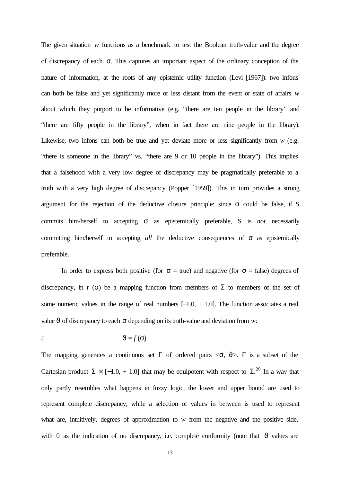The given situation *w* functions as a benchmark to test the Boolean truth-value and the degree of discrepancy of each σ. This captures an important aspect of the ordinary conception of the nature of information, at the roots of any epistemic utility function (Levi [1967]): two infons can both be false and yet significantly more or less distant from the event or state of affairs *w* about which they purport to be informative (e.g. "there are ten people in the library" and "there are fifty people in the library", when in fact there are nine people in the library). Likewise, two infons can both be true and yet deviate more or less significantly from  $w$  (e.g. "there is someone in the library" vs. "there are 9 or 10 people in the library"). This implies that a falsehood with a very low degree of discrepancy may be pragmatically preferable to a truth with a very high degree of discrepancy (Popper [1959]). This in turn provides a strong argument for the rejection of the deductive closure principle: since  $\sigma$  could be false, if S commits him/herself to accepting σ as epistemically preferable, S is *not* necessarily committing him/herself to accepting *all* the deductive consequences of σ as epistemically preferable.

In order to express both positive (for  $\sigma$  = true) and negative (for  $\sigma$  = false) degrees of discrepancy, let *f* (σ) be a mapping function from members of  $\Sigma$  to members of the set of some numeric values in the range of real numbers  $[-1.0, +1.0]$ . The function associates a real value  $\vartheta$  of discrepancy to each  $\sigma$  depending on its truth-value and deviation from *w*:

$$
5 \qquad \qquad \vartheta = f(\sigma)
$$

The mapping generates a continuous set  $\Gamma$  of ordered pairs  $\langle \sigma, \vartheta \rangle$ .  $\Gamma$  is a subset of the Cartesian product  $\Sigma \times [-1.0, +1.0]$  that may be equipotent with respect to  $\Sigma^{20}$  In a way that only partly resembles what happens in fuzzy logic, the lower and upper bound are used to represent complete discrepancy, while a selection of values in between is used to represent what are, intuitively, degrees of approximation to *w* from the negative and the positive side, with 0 as the indication of no discrepancy, i.e. complete conformity (note that  $\vartheta$  values are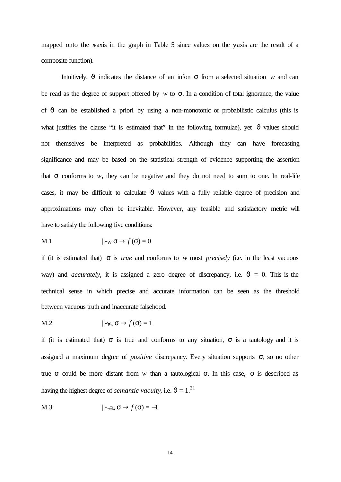mapped onto the x-axis in the graph in Table 5 since values on the y-axis are the result of a composite function).

Intuitively, ϑ indicates the distance of an infon σ from a selected situation *w* and can be read as the degree of support offered by *w* to  $\sigma$ . In a condition of total ignorance, the value of  $\vartheta$  can be established a priori by using a non-monotonic or probabilistic calculus (this is what justifies the clause "it is estimated that" in the following formulae), yet  $\vartheta$  values should not themselves be interpreted as probabilities. Although they can have forecasting significance and may be based on the statistical strength of evidence supporting the assertion that σ conforms to *w*, they can be negative and they do not need to sum to one. In real-life cases, it may be difficult to calculate  $\vartheta$  values with a fully reliable degree of precision and approximations may often be inevitable. However, any feasible and satisfactory metric will have to satisfy the following five conditions:

$$
\mathbf{M}.1 \qquad \qquad \|\mathbf{-w} \,\mathbf{\sigma} \rightarrow f(\mathbf{\sigma}) = 0
$$

if (it is estimated that)  $\sigma$  is *true* and conforms to *w* most *precisely* (i.e. in the least vacuous way) and *accurately*, it is assigned a zero degree of discrepancy, i.e.  $\vartheta = 0$ . This is the technical sense in which precise and accurate information can be seen as the threshold between vacuous truth and inaccurate falsehood.

$$
\mathbf{M.2} \qquad \qquad \|\mathbf{-}_{\forall w}\,\mathbf{\sigma}\to f\,(\mathbf{\sigma})=1
$$

if (it is estimated that)  $\sigma$  is true and conforms to any situation,  $\sigma$  is a tautology and it is assigned a maximum degree of *positive* discrepancy. Every situation supports σ, so no other true σ could be more distant from *w* than a tautological σ. In this case, σ is described as having the highest degree of *semantic vacuity*, i.e.  $\vartheta = 1$ .<sup>21</sup>

$$
\mathsf{M}.3 \qquad \qquad ||_{\mathsf{--}\exists w} \, \sigma \to f(\sigma) = -1
$$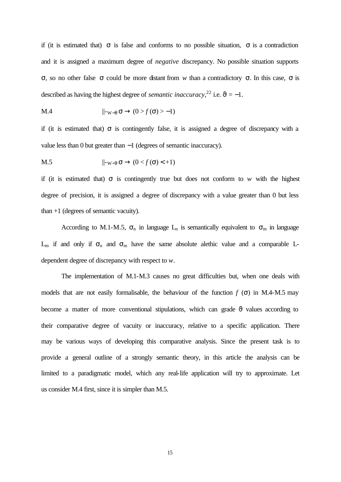if (it is estimated that)  $\sigma$  is false and conforms to no possible situation,  $\sigma$  is a contradiction and it is assigned a maximum degree of *negative* discrepancy. No possible situation supports σ, so no other false σ could be more distant from *w* than a contradictory σ. In this case, σ is described as having the highest degree of *semantic inaccuracy*,<sup>22</sup> i.e.  $\vartheta = -1$ .

$$
\mathbf{M.4} \qquad \qquad \|\mathbf{-w}_{-\theta}\,\boldsymbol{\sigma} \to (0 > f\,(\boldsymbol{\sigma}) > -1)
$$

if (it is estimated that)  $\sigma$  is contingently false, it is assigned a degree of discrepancy with a value less than 0 but greater than −1 (degrees of semantic inaccuracy).

$$
\mathsf{M.5} \qquad \qquad \|\mathsf{-w}_{+\theta}\,\sigma \to (0 < f\,(\sigma) < +1)
$$

if (it is estimated that)  $\sigma$  is contingently true but does not conform to *w* with the highest degree of precision, it is assigned a degree of discrepancy with a value greater than 0 but less than +1 (degrees of semantic vacuity).

According to M.1-M.5,  $\sigma_n$  in language L<sub>n</sub> is semantically equivalent to  $\sigma_m$  in language  $L_m$  if and only if  $\sigma_n$  and  $\sigma_m$  have the same absolute alethic value and a comparable Ldependent degree of discrepancy with respect to *w*.

The implementation of M.1-M.3 causes no great difficulties but, when one deals with models that are not easily formalisable, the behaviour of the function  $f(\sigma)$  in M.4-M.5 may become a matter of more conventional stipulations, which can grade  $\vartheta$  values according to their comparative degree of vacuity or inaccuracy, relative to a specific application. There may be various ways of developing this comparative analysis. Since the present task is to provide a general outline of a strongly semantic theory, in this article the analysis can be limited to a paradigmatic model, which any real-life application will try to approximate. Let us consider M.4 first, since it is simpler than M.5.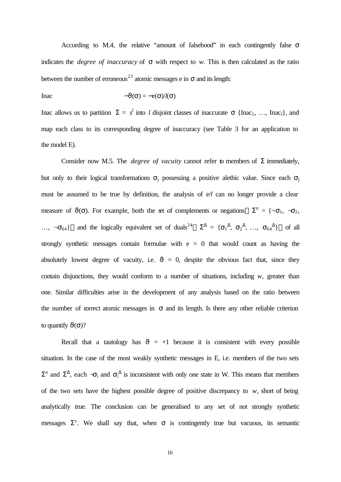According to M.4, the relative "amount of falsehood" in each contingently false  $\sigma$ indicates the *degree of inaccuracy* of σ with respect to *w*. This is then calculated as the ratio between the number of erroneous<sup>23</sup> atomic messages e in  $\sigma$  and its length:

$$
\text{Inac} \qquad \qquad -\vartheta(\sigma) = -e(\sigma)/l(\sigma)
$$

Inac allows us to partition  $\Sigma = s^l$  into *l* disjoint classes of inaccurate  $\sigma$  {Inac<sub>1</sub>, ..., Inac<sub>*l*</sub>}, and map each class to its corresponding degree of inaccuracy (see Table 3 for an application to the model E).

Consider now M.5. The *degree of vacuity* cannot refer to members of  $\Sigma$  immediately, but only to their logical transformations  $\sigma_i$  possessing a positive alethic value. Since each  $\sigma_i$ must be assumed to be true by definition, the analysis of e/*l* can no longer provide a clear measure of  $\vartheta(\sigma)$ . For example, both the set of complements or negations— $\Sigma^{n} = {\neg \sigma_1, \neg \sigma_2}$ , ..., ¬ $\sigma_{64}$ }—and the logically equivalent set of duals<sup>24</sup>—Σ<sup>△</sup> = { $\sigma_1$ <sup>△</sup>,  $\sigma_2$ <sup>△</sup>, ...,  $\sigma_{64}$ <sup>△</sup>}—of all strongly synthetic messages contain formulae with  $e = 0$  that would count as having the absolutely lowest degree of vacuity, i.e.  $\vartheta = 0$ , despite the obvious fact that, since they contain disjunctions, they would conform to a number of situations, including *w*, greater than one. Similar difficulties arise in the development of any analysis based on the ratio between the number of correct atomic messages in  $\sigma$  and its length. Is there any other reliable criterion to quantify  $\vartheta(\sigma)$ ?

Recall that a tautology has  $\vartheta = +1$  because it is consistent with every possible situation. In the case of the most weakly synthetic messages in E, i.e. members of the two sets  $\Sigma$ <sup>n</sup> and  $\Sigma$ <sup> $\Delta$ </sup>, each  $-\sigma$ <sub>i</sub> and  $\sigma$ <sub>i</sub><sup> $\Delta$ </sup> is inconsistent with only one state in W. This means that members of the two sets have the highest possible degree of positive discrepancy to *w*, short of being analytically true. The conclusion can be generalised to any set of not strongly synthetic messages  $\Sigma^x$ . We shall say that, when  $\sigma$  is contingently true but vacuous, its semantic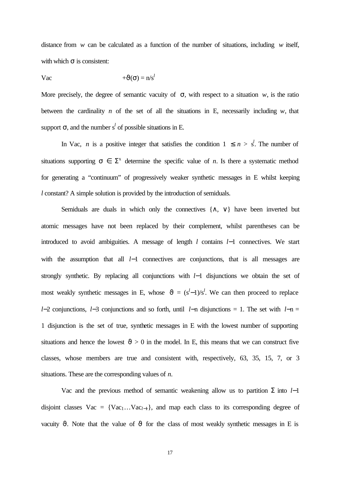distance from *w* can be calculated as a function of the number of situations, including *w* itself, with which  $\sigma$  is consistent:

Vac  $+\vartheta(\sigma) = n/s^l$ 

More precisely, the degree of semantic vacuity of  $\sigma$ , with respect to a situation *w*, is the ratio between the cardinality  $n$  of the set of all the situations in E, necessarily including  $w$ , that support  $\sigma$ , and the number s<sup>l</sup> of possible situations in E.

In Vac, *n* is a positive integer that satisfies the condition  $1 \leq n > s^l$ . The number of situations supporting  $\sigma \in \Sigma^x$  determine the specific value of *n*. Is there a systematic method for generating a "continuum" of progressively weaker synthetic messages in E whilst keeping *l* constant? A simple solution is provided by the introduction of semiduals.

Semiduals are duals in which only the connectives {∧, ∨} have been inverted but atomic messages have not been replaced by their complement, whilst parentheses can be introduced to avoid ambiguities. A message of length *l* contains *l*−1 connectives. We start with the assumption that all *l*−1 connectives are conjunctions, that is all messages are strongly synthetic. By replacing all conjunctions with *l*−1 disjunctions we obtain the set of most weakly synthetic messages in E, whose  $\vartheta = (s^l-1)/s^l$ . We can then proceed to replace *l*−2 conjunctions, *l*−3 conjunctions and so forth, until *l*−n disjunctions = 1. The set with *l*−n = 1 disjunction is the set of true, synthetic messages in E with the lowest number of supporting situations and hence the lowest  $\vartheta > 0$  in the model. In E, this means that we can construct five classes, whose members are true and consistent with, respectively, 63, 35, 15, 7, or 3 situations. These are the corresponding values of *n.*

Vac and the previous method of semantic weakening allow us to partition  $\Sigma$  into *l*−1 disjoint classes  $Vac = \{Vac_1...Vac_{l-1}\}\$ , and map each class to its corresponding degree of vacuity  $\vartheta$ . Note that the value of  $\vartheta$  for the class of most weakly synthetic messages in E is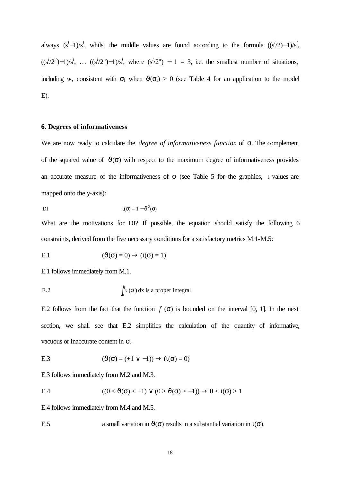always  $(s^l-1)/s^l$ , whilst the middle values are found according to the formula  $((s^l/2)-1)/s^l$ ,  $((s^{l}/2^{2})-1)/s^{l}$ , ...  $((s^{l}/2^{n})-1)/s^{l}$ , where  $(s^{l}/2^{n})-1=3$ , i.e. the smallest number of situations, including *w*, consistent with  $\sigma_i$  when  $\vartheta(\sigma_i) > 0$  (see Table 4 for an application to the model E).

# **6. Degrees of informativeness**

We are now ready to calculate the *degree of informativeness function* of σ. The complement of the squared value of  $\vartheta(\sigma)$  with respect to the maximum degree of informativeness provides an accurate measure of the informativeness of  $\sigma$  (see Table 5 for the graphics, 1 values are mapped onto the y-axis):

$$
U(\sigma) = 1 - \vartheta^2(\sigma)
$$

What are the motivations for DI? If possible, the equation should satisfy the following 6 constraints, derived from the five necessary conditions for a satisfactory metrics M.1-M.5:

E.1 
$$
(\vartheta(\sigma) = 0) \to (\iota(\sigma) = 1)
$$

E.1 follows immediately from M.1.

E.2 
$$
\int_a^b \mathbf{i}(\mathbf{s}) dx \text{ is a proper integral}
$$

E.2 follows from the fact that the function  $f(\sigma)$  is bounded on the interval [0, 1]. In the next section, we shall see that E.2 simplifies the calculation of the quantity of informative, vacuous or inaccurate content in σ.

E.3 
$$
(\vartheta(\sigma) = (+1 \vee -1)) \rightarrow (t(\sigma) = 0)
$$

E.3 follows immediately from M.2 and M.3.

$$
\text{E.4} \qquad \qquad ((0 < \vartheta(\sigma) < +1) \lor (0 > \vartheta(\sigma) > -1)) \to 0 < \iota(\sigma) > 1
$$

E.4 follows immediately from M.4 and M.5.

E.5 a small variation in  $\vartheta(\sigma)$  results in a substantial variation in  $\iota(\sigma)$ .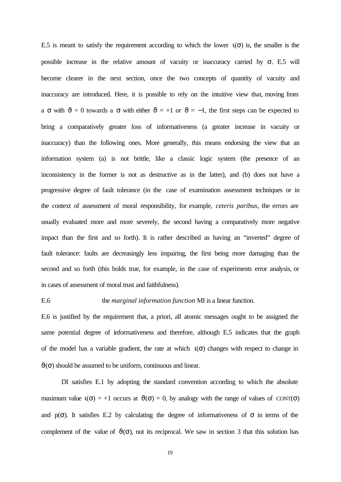E.5 is meant to satisfy the requirement according to which the lower  $\iota(\sigma)$  is, the smaller is the possible increase in the relative amount of vacuity or inaccuracy carried by  $\sigma$ . E.5 will become clearer in the next section, once the two concepts of quantity of vacuity and inaccuracy are introduced. Here, it is possible to rely on the intuitive view that, moving from a  $\sigma$  with  $\vartheta = 0$  towards a  $\sigma$  with either  $\vartheta = +1$  or  $\vartheta = -1$ , the first steps can be expected to bring a comparatively greater loss of informativeness (a greater increase in vacuity or inaccuracy) than the following ones. More generally, this means endorsing the view that an information system (a) is not brittle, like a classic logic system (the presence of an inconsistency in the former is not as destructive as in the latter), and (b) does not have a progressive degree of fault tolerance (in the case of examination assessment techniques or in the context of assessment of moral responsibility, for example, *ceteris paribus*, the errors are usually evaluated more and more severely, the second having a comparatively more negative impact than the first and so forth). It is rather described as having an "inverted" degree of fault tolerance: faults are decreasingly less impairing, the first being more damaging than the second and so forth (this holds true, for example, in the case of experiments error analysis, or in cases of assessment of moral trust and faithfulness).

# E.6 the *marginal information function* MI is a linear function.

E.6 is justified by the requirement that, a priori, all atomic messages ought to be assigned the same potential degree of informativeness and therefore, although E.5 indicates that the graph of the model has a variable gradient, the rate at which  $\iota(\sigma)$  changes with respect to change in  $\vartheta(\sigma)$  should be assumed to be uniform, continuous and linear.

DI satisfies E.1 by adopting the standard convention according to which the absolute maximum value  $\iota(\sigma) = +1$  occurs at  $\vartheta(\sigma) = 0$ , by analogy with the range of values of CONT( $\sigma$ ) and  $p(\sigma)$ . It satisfies E.2 by calculating the degree of informativeness of  $\sigma$  in terms of the complement of the value of  $\vartheta(\sigma)$ , not its reciprocal. We saw in section 3 that this solution has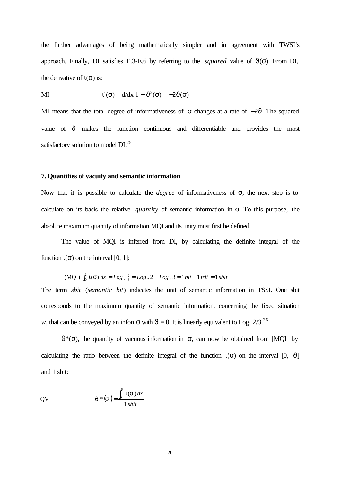the further advantages of being mathematically simpler and in agreement with TWSI's approach. Finally, DI satisfies E.3-E.6 by referring to the *squared* value of  $\vartheta(\sigma)$ . From DI, the derivative of  $\iota(\sigma)$  is:

$$
u'(\sigma) = d/dx \ 1 - \vartheta^2(\sigma) = -2\vartheta(\sigma)
$$

MI means that the total degree of informativeness of  $\sigma$  changes at a rate of  $-2\vartheta$ . The squared value of  $\vartheta$  makes the function continuous and differentiable and provides the most satisfactory solution to model  $DI^{25}$ 

## **7. Quantities of vacuity and semantic information**

Now that it is possible to calculate the *degree* of informativeness of σ, the next step is to calculate on its basis the relative *quantity* of semantic information in σ. To this purpose, the absolute maximum quantity of information MQI and its unity must first be defined.

The value of MQI is inferred from DI, by calculating the definite integral of the function  $\iota(\sigma)$  on the interval [0, 1]:

(MQI) 
$$
\int_0^1 \tau(\sigma) dx = Log_2 \frac{2}{3} = Log_2 2 - Log_2 3 = 1 bit - 1 trit = 1 shift
$$

The term *sbit* (*semantic bit*) indicates the unit of semantic information in TSSI. One sbit corresponds to the maximum quantity of semantic information, concerning the fixed situation *w*, that can be conveyed by an infon  $\sigma$  with  $\vartheta = 0$ . It is linearly equivalent to Log<sub>2</sub> 2/3.<sup>26</sup>

 $\vartheta^*(\sigma)$ , the quantity of vacuous information in  $\sigma$ , can now be obtained from [MQI] by calculating the ratio between the definite integral of the function  $\iota(\sigma)$  on the interval [0,  $\vartheta$ ] and 1 sbit:

$$
QV \t J^*(s) = \frac{\int_0^J i(s) \, dx}{1 \, sbit}
$$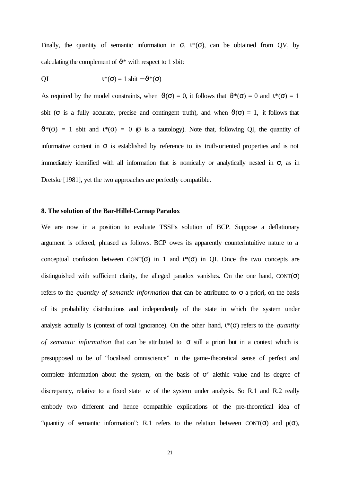Finally, the quantity of semantic information in  $\sigma$ ,  $\iota^*(\sigma)$ , can be obtained from QV, by calculating the complement of  $\vartheta^*$  with respect to 1 sbit:

$$
l^*(\sigma) = 1 \text{ sbit} - \vartheta^*(\sigma)
$$

As required by the model constraints, when  $\vartheta(\sigma) = 0$ , it follows that  $\vartheta^*(\sigma) = 0$  and  $\iota^*(\sigma) = 1$ sbit ( $\sigma$  is a fully accurate, precise and contingent truth), and when  $\vartheta(\sigma) = 1$ , it follows that  $\vartheta^*(\sigma) = 1$  sbit and  $\iota^*(\sigma) = 0$  ( $\sigma$  is a tautology). Note that, following OI, the quantity of informative content in  $\sigma$  is established by reference to its truth-oriented properties and is not immediately identified with all information that is nomically or analytically nested in  $\sigma$ , as in Dretske [1981], yet the two approaches are perfectly compatible.

# **8. The solution of the Bar-Hillel-Carnap Paradox**

We are now in a position to evaluate TSSI's solution of BCP. Suppose a deflationary argument is offered, phrased as follows. BCP owes its apparently counterintuitive nature to a conceptual confusion between  $CONT(\sigma)$  in 1 and  $\iota^*(\sigma)$  in QI. Once the two concepts are distinguished with sufficient clarity, the alleged paradox vanishes. On the one hand,  $CONT(\sigma)$ refers to the *quantity of semantic information* that can be attributed to σ a priori, on the basis of its probability distributions and independently of the state in which the system under analysis actually is (context of total ignorance). On the other hand,  $\iota^*(\sigma)$  refers to the *quantity of semantic information* that can be attributed to σ still a priori but in a context which is presupposed to be of "localised omniscience" in the game-theoretical sense of perfect and complete information about the system, on the basis of  $\sigma$ ' alethic value and its degree of discrepancy, relative to a fixed state *w* of the system under analysis. So R.1 and R.2 really embody two different and hence compatible explications of the pre-theoretical idea of "quantity of semantic information": R.1 refers to the relation between CONT( $\sigma$ ) and  $p(\sigma)$ ,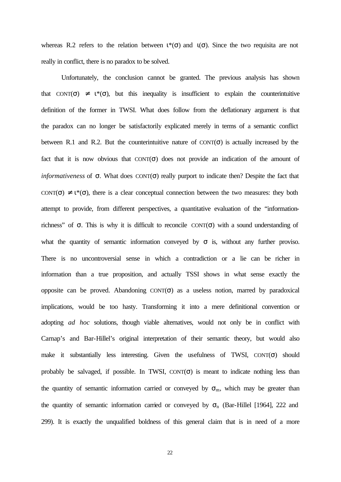whereas R.2 refers to the relation between  $\iota^*(\sigma)$  and  $\iota(\sigma)$ . Since the two requisita are not really in conflict, there is no paradox to be solved.

Unfortunately, the conclusion cannot be granted. The previous analysis has shown that CONT( $\sigma$ )  $\neq$  1<sup>\*</sup>( $\sigma$ ), but this inequality is insufficient to explain the counterintuitive definition of the former in TWSI. What does follow from the deflationary argument is that the paradox can no longer be satisfactorily explicated merely in terms of a semantic conflict between R.1 and R.2. But the counterintuitive nature of  $CONT(\sigma)$  is actually increased by the fact that it is now obvious that  $CONT(\sigma)$  does not provide an indication of the amount of *informativeness* of σ. What does CONT(σ) really purport to indicate then? Despite the fact that CONT( $\sigma$ )  $\neq$  1<sup>\*</sup>( $\sigma$ ), there is a clear conceptual connection between the two measures: they both attempt to provide, from different perspectives, a quantitative evaluation of the "informationrichness" of  $\sigma$ . This is why it is difficult to reconcile CONT( $\sigma$ ) with a sound understanding of what the quantity of semantic information conveyed by  $\sigma$  is, without any further proviso. There is no uncontroversial sense in which a contradiction or a lie can be richer in information than a true proposition, and actually TSSI shows in what sense exactly the opposite can be proved. Abandoning  $CONT(\sigma)$  as a useless notion, marred by paradoxical implications, would be too hasty. Transforming it into a mere definitional convention or adopting *ad hoc* solutions, though viable alternatives, would not only be in conflict with Carnap's and Bar-Hillel's original interpretation of their semantic theory, but would also make it substantially less interesting. Given the usefulness of TWSI,  $CONT(\sigma)$  should probably be salvaged, if possible. In TWSI,  $CONT(\sigma)$  is meant to indicate nothing less than the quantity of semantic information carried or conveyed by  $\sigma_m$ , which may be greater than the quantity of semantic information carried or conveyed by  $\sigma_n$  (Bar-Hillel [1964], 222 and 299). It is exactly the unqualified boldness of this general claim that is in need of a more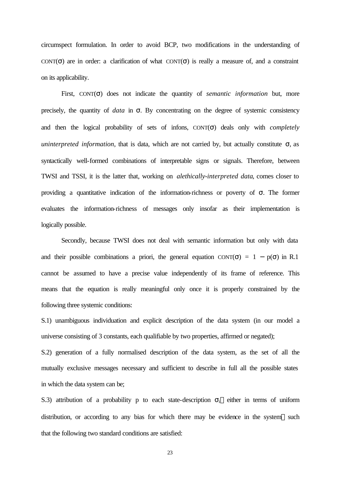circumspect formulation. In order to avoid BCP, two modifications in the understanding of CONT( $\sigma$ ) are in order: a clarification of what CONT( $\sigma$ ) is really a measure of, and a constraint on its applicability.

First, CONT(σ) does not indicate the quantity of *semantic information* but, more precisely, the quantity of *data* in σ. By concentrating on the degree of systemic consistency and then the logical probability of sets of infons, CONT(σ) deals only with *completely uninterpreted information*, that is data, which are not carried by, but actually constitute  $\sigma$ , as syntactically well-formed combinations of interpretable signs or signals. Therefore, between TWSI and TSSI, it is the latter that, working on *alethically-interpreted data*, comes closer to providing a quantitative indication of the information-richness or poverty of  $\sigma$ . The former evaluates the information-richness of messages only insofar as their implementation is logically possible.

Secondly, because TWSI does not deal with semantic information but only with data and their possible combinations a priori, the general equation CONT( $\sigma$ ) = 1 – p( $\sigma$ ) in R.1 cannot be assumed to have a precise value independently of its frame of reference. This means that the equation is really meaningful only once it is properly constrained by the following three systemic conditions:

S.1) unambiguous individuation and explicit description of the data system (in our model a universe consisting of 3 constants, each qualifiable by two properties, affirmed or negated);

S.2) generation of a fully normalised description of the data system, as the set of all the mutually exclusive messages necessary and sufficient to describe in full all the possible states in which the data system can be;

S.3) attribution of a probability p to each state-description  $\sigma_i$  either in terms of uniform distribution, or according to any bias for which there may be evidence in the system—such that the following two standard conditions are satisfied: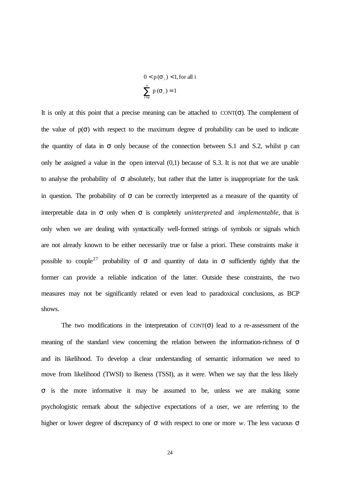$$
0 < p(\mathbf{S}_i) < 1, \text{for all } i
$$
\n
$$
\sum_{i=p}^{n} p(\mathbf{S}_i) = 1
$$

It is only at this point that a precise meaning can be attached to  $CONT(\sigma)$ . The complement of the value of  $p(\sigma)$  with respect to the maximum degree of probability can be used to indicate the quantity of data in  $\sigma$  only because of the connection between S.1 and S.2, whilst p can only be assigned a value in the open interval (0,1) because of S.3. It is not that we are unable to analyse the probability of  $\sigma$  absolutely, but rather that the latter is inappropriate for the task in question. The probability of  $\sigma$  can be correctly interpreted as a measure of the quantity of interpretable data in σ only when σ is completely *uninterpreted* and *implementable*, that is only when we are dealing with syntactically well-formed strings of symbols or signals which are not already known to be either necessarily true or false a priori. These constraints make it possible to couple<sup>27</sup> probability of  $\sigma$  and quantity of data in  $\sigma$  sufficiently tightly that the former can provide a reliable indication of the latter. Outside these constraints, the two measures may not be significantly related or even lead to paradoxical conclusions, as BCP shows.

The two modifications in the interpretation of  $CONT(\sigma)$  lead to a re-assessment of the meaning of the standard view concerning the relation between the information-richness of  $\sigma$ and its likelihood. To develop a clear understanding of semantic information we need to move from likelihood (TWSI) to lkeness (TSSI), as it were. When we say that the less likely σ is the more informative it may be assumed to be, unless we are making some psychologistic remark about the subjective expectations of a user, we are referring to the higher or lower degree of discrepancy of σ with respect to one or more *w*. The less vacuous σ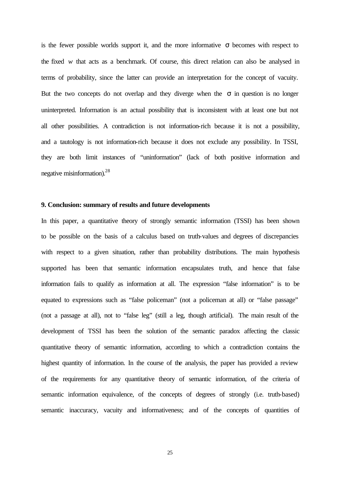is the fewer possible worlds support it, and the more informative  $\sigma$  becomes with respect to the fixed *w* that acts as a benchmark. Of course, this direct relation can also be analysed in terms of probability, since the latter can provide an interpretation for the concept of vacuity. But the two concepts do not overlap and they diverge when the  $\sigma$  in question is no longer uninterpreted. Information is an actual possibility that is inconsistent with at least one but not all other possibilities. A contradiction is not information-rich because it is not a possibility, and a tautology is not information-rich because it does not exclude any possibility. In TSSI, they are both limit instances of "uninformation" (lack of both positive information and negative misinformation).<sup>28</sup>

## **9. Conclusion: summary of results and future developments**

In this paper, a quantitative theory of strongly semantic information (TSSI) has been shown to be possible on the basis of a calculus based on truth-values and degrees of discrepancies with respect to a given situation, rather than probability distributions. The main hypothesis supported has been that semantic information encapsulates truth, and hence that false information fails to qualify as information at all. The expression "false information" is to be equated to expressions such as "false policeman" (not a policeman at all) or "false passage" (not a passage at all), not to "false leg" (still a leg, though artificial). The main result of the development of TSSI has been the solution of the semantic paradox affecting the classic quantitative theory of semantic information, according to which a contradiction contains the highest quantity of information. In the course of the analysis, the paper has provided a review of the requirements for any quantitative theory of semantic information, of the criteria of semantic information equivalence, of the concepts of degrees of strongly (i.e. truth-based) semantic inaccuracy, vacuity and informativeness; and of the concepts of quantities of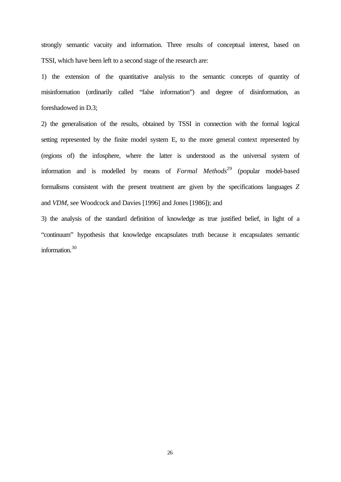strongly semantic vacuity and information. Three results of conceptual interest, based on TSSI, which have been left to a second stage of the research are:

1) the extension of the quantitative analysis to the semantic concepts of quantity of misinformation (ordinarily called "false information") and degree of disinformation, as foreshadowed in D.3;

2) the generalisation of the results, obtained by TSSI in connection with the formal logical setting represented by the finite model system E, to the more general context represented by (regions of) the infosphere, where the latter is understood as the universal system of information and is modelled by means of *Formal Methods*<sup>29</sup> (popular model-based formalisms consistent with the present treatment are given by the specifications languages *Z* and *VDM*, see Woodcock and Davies [1996] and Jones [1986]); and

3) the analysis of the standard definition of knowledge as true justified belief, in light of a "continuum" hypothesis that knowledge encapsulates truth because it encapsulates semantic information.<sup>30</sup>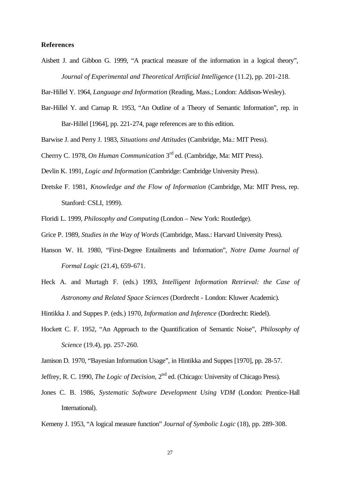# **References**

Aisbett J. and Gibbon G. 1999, "A practical measure of the information in a logical theory", *Journal of Experimental and Theoretical Artificial Intelligence* (11.2), pp. 201-218.

Bar-Hillel Y. 1964, *Language and Information* (Reading, Mass.; London: Addison-Wesley).

- Bar-Hillel Y. and Carnap R. 1953, "An Outline of a Theory of Semantic Information", rep. in Bar-Hillel [1964], pp. 221-274, page references are to this edition.
- Barwise J. and Perry J. 1983, *Situations and Attitudes* (Cambridge, Ma.: MIT Press).

Cherrry C. 1978, *On Human Communication* 3rd ed. (Cambridge, Ma: MIT Press).

Devlin K. 1991, *Logic and Information* (Cambridge: Cambridge University Press).

Dretske F. 1981, *Knowledge and the Flow of Information* (Cambridge, Ma: MIT Press, rep. Stanford: CSLI, 1999).

Floridi L. 1999, *Philosophy and Computing* (London – New York: Routledge).

Grice P. 1989, *Studies in the Way of Words* (Cambridge, Mass.: Harvard University Press).

- Hanson W. H. 1980, "First-Degree Entailments and Information", *Notre Dame Journal of Formal Logic* (21.4), 659-671.
- Heck A. and Murtagh F. (eds.) 1993, *Intelligent Information Retrieval: the Case of Astronomy and Related Space Sciences* (Dordrecht - London: Kluwer Academic).

Hintikka J. and Suppes P. (eds.) 1970, *Information and Inference* (Dordrecht: Riedel).

- Hockett C. F. 1952, "An Approach to the Quantification of Semantic Noise", *Philosophy of Science* (19.4), pp. 257-260.
- Jamison D. 1970, "Bayesian Information Usage", in Hintikka and Suppes [1970], pp. 28-57.
- Jeffrey, R. C. 1990, *The Logic of Decision*, 2nd ed. (Chicago: University of Chicago Press).
- Jones C. B. 1986, *Systematic Software Development Using VDM* (London: Prentice-Hall International).

Kemeny J. 1953, "A logical measure function" *Journal of Symbolic Logic* (18), pp. 289-308.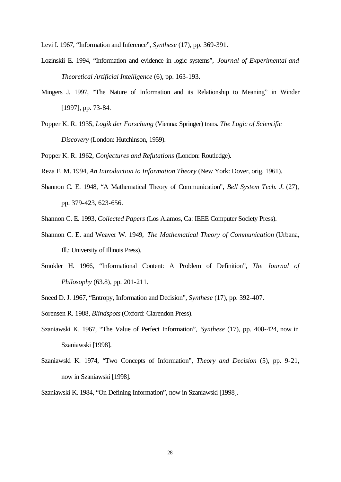Levi I. 1967, "Information and Inference", *Synthese* (17), pp. 369-391.

- Lozinskii E. 1994, "Information and evidence in logic systems", *Journal of Experimental and Theoretical Artificial Intelligence* (6), pp. 163-193.
- Mingers J. 1997, "The Nature of Information and its Relationship to Meaning" in Winder [1997], pp. 73-84.
- Popper K. R. 1935, *Logik der Forschung* (Vienna: Springer) trans. *The Logic of Scientific Discovery* (London: Hutchinson, 1959).

Popper K. R. 1962, *Conjectures and Refutations* (London: Routledge).

Reza F. M. 1994, *An Introduction to Information Theory* (New York: Dover, orig. 1961).

Shannon C. E. 1948, "A Mathematical Theory of Communication", *Bell System Tech. J.* (27), pp. 379-423, 623-656.

Shannon C. E. 1993, *Collected Papers* (Los Alamos, Ca: IEEE Computer Society Press).

- Shannon C. E. and Weaver W. 1949, *The Mathematical Theory of Communication* (Urbana, Ill.: University of Illinois Press).
- Smokler H. 1966, "Informational Content: A Problem of Definition", *The Journal of Philosophy* (63.8), pp. 201-211.

Sneed D. J. 1967, "Entropy, Information and Decision", *Synthese* (17), pp. 392-407.

Sorensen R. 1988, *Blindspots* (Oxford: Clarendon Press).

- Szaniawski K. 1967, "The Value of Perfect Information", *Synthese* (17), pp. 408-424, now in Szaniawski [1998].
- Szaniawski K. 1974, "Two Concepts of Information", *Theory and Decision* (5), pp. 9-21, now in Szaniawski [1998].

Szaniawski K. 1984, "On Defining Information", now in Szaniawski [1998].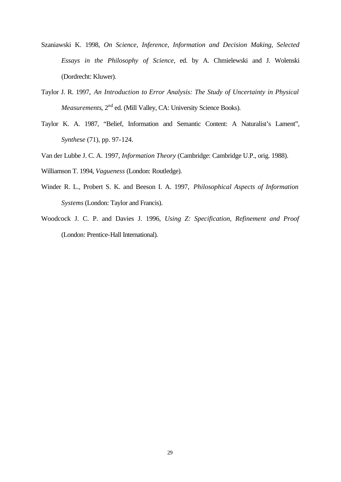- Szaniawski K. 1998, *On Science, Inference, Information and Decision Making, Selected Essays in the Philosophy of Science*, ed. by A. Chmielewski and J. Wolenski (Dordrecht: Kluwer).
- Taylor J. R. 1997, *An Introduction to Error Analysis: The Study of Uncertainty in Physical Measurements*, 2<sup>nd</sup> ed. (Mill Valley, CA: University Science Books).
- Taylor K. A. 1987, "Belief, Information and Semantic Content: A Naturalist's Lament", *Synthese* (71), pp. 97-124.
- Van der Lubbe J. C. A. 1997, *Information Theory* (Cambridge: Cambridge U.P., orig. 1988).
- Williamson T. 1994, *Vagueness* (London: Routledge).
- Winder R. L., Probert S. K. and Beeson I. A. 1997, *Philosophical Aspects of Information Systems* (London: Taylor and Francis).
- Woodcock J. C. P. and Davies J. 1996, *Using Z: Specification, Refinement and Proof* (London: Prentice-Hall International).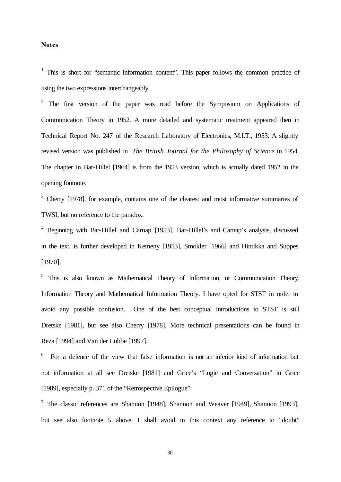#### **Notes**

<sup>1</sup> This is short for "semantic information content". This paper follows the common practice of using the two expressions interchangeably.

<sup>2</sup> The first version of the paper was read before the Symposium on Applications of Communication Theory in 1952. A more detailed and systematic treatment appeared then in Technical Report No. 247 of the Research Laboratory of Electronics, M.I.T., 1953. A slightly revised version was published in *The British Journal for the Philosophy of Science* in 1954. The chapter in Bar-Hillel [1964] is from the 1953 version, which is actually dated 1952 in the opening footnote.

 $3$  Cherry [1978], for example, contains one of the clearest and most informative summaries of TWSI, but no reference to the paradox.

<sup>4</sup> Beginning with Bar-Hillel and Carnap [1953]. Bar-Hillel's and Carnap's analysis, discussed in the text, is further developed in Kemeny [1953], Smokler [1966] and Hintikka and Suppes [1970].

<sup>5</sup> This is also known as Mathematical Theory of Information, or Communication Theory, Information Theory and Mathematical Information Theory. I have opted for STST in order to avoid any possible confusion. One of the best conceptual introductions to STST is still Dretske [1981], but see also Cherry [1978]. More technical presentations can be found in Reza [1994] and Van der Lubbe [1997].

<sup>6</sup> For a defence of the view that false information is not an inferior kind of information but not information at all see Dretske [1981] and Grice's "Logic and Conversation" in Grice [1989], especially p. 371 of the "Retrospective Epilogue".

<sup>7</sup> The classic references are Shannon [1948], Shannon and Weaver [1949], Shannon [1993], but see also footnote 5 above. I shall avoid in this context any reference to "doubt"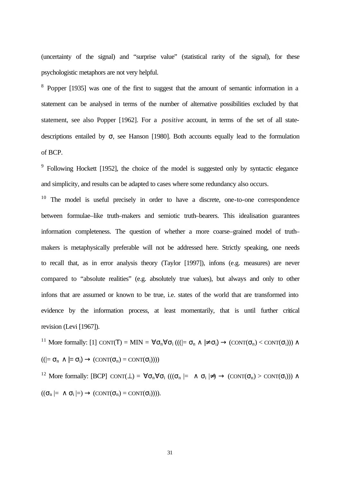(uncertainty of the signal) and "surprise value" (statistical rarity of the signal), for these psychologistic metaphors are not very helpful.

<sup>8</sup> Popper [1935] was one of the first to suggest that the amount of semantic information in a statement can be analysed in terms of the number of alternative possibilities excluded by that statement, see also Popper [1962]. For a *positive* account, in terms of the set of all statedescriptions entailed by  $\sigma$ , see Hanson [1980]. Both accounts equally lead to the formulation of BCP.

<sup>9</sup> Following Hockett [1952], the choice of the model is suggested only by syntactic elegance and simplicity, and results can be adapted to cases where some redundancy also occurs.

 $10$  The model is useful precisely in order to have a discrete, one-to-one correspondence between formulae–like truth–makers and semiotic truth–bearers. This idealisation guarantees information completeness. The question of whether a more coarse–grained model of truth– makers is metaphysically preferable will not be addressed here. Strictly speaking, one needs to recall that, as in error analysis theory (Taylor [1997]), infons (e.g. measures) are never compared to "absolute realities" (e.g. absolutely true values), but always and only to other infons that are assumed or known to be true, i.e. states of the world that are transformed into evidence by the information process, at least momentarily, that is until further critical revision (Levi [1967]).

<sup>11</sup> More formally: [1] CONT(**T**) = MIN =  $\forall \sigma_n \forall \sigma_i ((| = \sigma_n \land \neq \sigma_i) \rightarrow (CONT(\sigma_n) < CONT(\sigma_i)) \land$  $((\models \sigma_n \land \models \sigma_i) \rightarrow (CONT(\sigma_n) = CONT(\sigma_i))))$ 

<sup>12</sup> More formally: [BCP]  $\text{CONT}(\perp) = \forall \sigma_n \forall \sigma_i ((\sigma_n \models \land \sigma_i \not\models) \rightarrow (\text{CONT}(\sigma_n) > \text{CONT}(\sigma_i))) \land$  $((\sigma_n \models \land \sigma_i \models) \rightarrow (CONT(\sigma_n) = CONT(\sigma_i))).$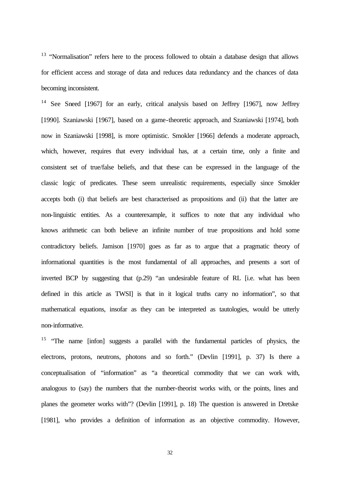$13$  "Normalisation" refers here to the process followed to obtain a database design that allows for efficient access and storage of data and reduces data redundancy and the chances of data becoming inconsistent.

<sup>14</sup> See Sneed [1967] for an early, critical analysis based on Jeffrey [1967], now Jeffrey [1990]. Szaniawski [1967], based on a game-theoretic approach, and Szaniawski [1974], both now in Szaniawski [1998], is more optimistic. Smokler [1966] defends a moderate approach, which, however, requires that every individual has, at a certain time, only a finite and consistent set of true/false beliefs, and that these can be expressed in the language of the classic logic of predicates. These seem unrealistic requirements, especially since Smokler accepts both (i) that beliefs are best characterised as propositions and (ii) that the latter are non-linguistic entities. As a counterexample, it suffices to note that any individual who knows arithmetic can both believe an infinite number of true propositions and hold some contradictory beliefs. Jamison [1970] goes as far as to argue that a pragmatic theory of informational quantities is the most fundamental of all approaches, and presents a sort of inverted BCP by suggesting that (p.29) "an undesirable feature of RL [i.e. what has been defined in this article as TWSI] is that in it logical truths carry no information", so that mathematical equations, insofar as they can be interpreted as tautologies, would be utterly non-informative.

<sup>15</sup> "The name [infon] suggests a parallel with the fundamental particles of physics, the electrons, protons, neutrons, photons and so forth." (Devlin [1991], p. 37) Is there a conceptualisation of "information" as "a theoretical commodity that we can work with, analogous to (say) the numbers that the number-theorist works with, or the points, lines and planes the geometer works with"? (Devlin [1991], p. 18) The question is answered in Dretske [1981], who provides a definition of information as an objective commodity. However,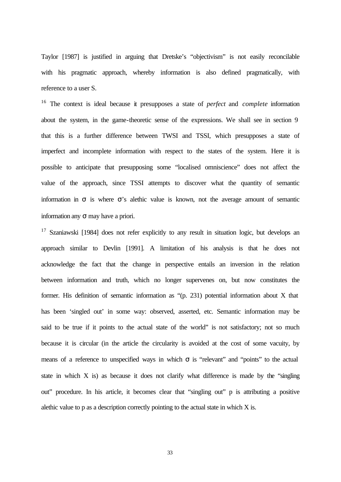Taylor [1987] is justified in arguing that Dretske's "objectivism" is not easily reconcilable with his pragmatic approach, whereby information is also defined pragmatically, with reference to a user S.

<sup>16</sup> The context is ideal because it presupposes a state of *perfect* and *complete* information about the system, in the game-theoretic sense of the expressions. We shall see in section 9 that this is a further difference between TWSI and TSSI, which presupposes a state of imperfect and incomplete information with respect to the states of the system. Here it is possible to anticipate that presupposing some "localised omniscience" does not affect the value of the approach, since TSSI attempts to discover what the quantity of semantic information in  $\sigma$  is where  $\sigma$ 's alethic value is known, not the average amount of semantic information any  $\sigma$  may have a priori.

 $17$  Szaniawski [1984] does not refer explicitly to any result in situation logic, but develops an approach similar to Devlin [1991]. A limitation of his analysis is that he does not acknowledge the fact that the change in perspective entails an inversion in the relation between information and truth, which no longer supervenes on, but now constitutes the former. His definition of semantic information as "(p. 231) potential information about X that has been 'singled out' in some way: observed, asserted, etc. Semantic information may be said to be true if it points to the actual state of the world" is not satisfactory; not so much because it is circular (in the article the circularity is avoided at the cost of some vacuity, by means of a reference to unspecified ways in which  $\sigma$  is "relevant" and "points" to the actual state in which X is) as because it does not clarify what difference is made by the "singling out" procedure. In his article, it becomes clear that "singling out" p is attributing a positive alethic value to p as a description correctly pointing to the actual state in which X is.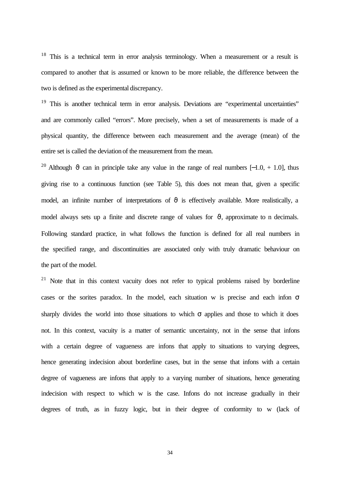$18$  This is a technical term in error analysis terminology. When a measurement or a result is compared to another that is assumed or known to be more reliable, the difference between the two is defined as the experimental discrepancy.

<sup>19</sup> This is another technical term in error analysis. Deviations are "experimental uncertainties" and are commonly called "errors". More precisely, when a set of measurements is made of a physical quantity, the difference between each measurement and the average (mean) of the entire set is called the deviation of the measurement from the mean.

<sup>20</sup> Although  $\vartheta$  can in principle take any value in the range of real numbers [−1.0, + 1.0], thus giving rise to a continuous function (see Table 5), this does not mean that, given a specific model, an infinite number of interpretations of  $\vartheta$  is effectively available. More realistically, a model always sets up a finite and discrete range of values for  $\vartheta$ , approximate to n decimals. Following standard practice, in what follows the function is defined for all real numbers in the specified range, and discontinuities are associated only with truly dramatic behaviour on the part of the model.

 $21$  Note that in this context vacuity does not refer to typical problems raised by borderline cases or the sorites paradox. In the model, each situation w is precise and each infon  $\sigma$ sharply divides the world into those situations to which  $\sigma$  applies and those to which it does not. In this context, vacuity is a matter of semantic uncertainty, not in the sense that infons with a certain degree of vagueness are infons that apply to situations to varying degrees, hence generating indecision about borderline cases, but in the sense that infons with a certain degree of vagueness are infons that apply to a varying number of situations, hence generating indecision with respect to which w is the case. Infons do not increase gradually in their degrees of truth, as in fuzzy logic, but in their degree of conformity to w (lack of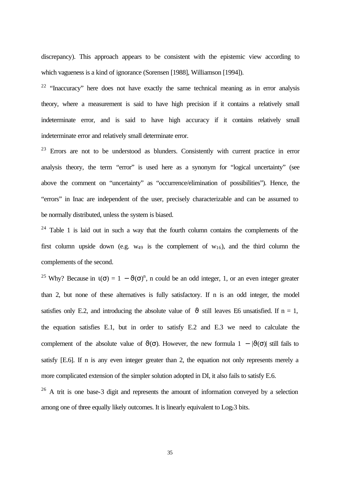discrepancy). This approach appears to be consistent with the epistemic view according to which vagueness is a kind of ignorance (Sorensen [1988], Williamson [1994]).

<sup>22</sup> "Inaccuracy" here does not have exactly the same technical meaning as in error analysis theory, where a measurement is said to have high precision if it contains a relatively small indeterminate error, and is said to have high accuracy if it contains relatively small indeterminate error and relatively small determinate error.

 $23$  Errors are not to be understood as blunders. Consistently with current practice in error analysis theory, the term "error" is used here as a synonym for "logical uncertainty" (see above the comment on "uncertainty" as "occurrence/elimination of possibilities"). Hence, the "errors" in Inac are independent of the user, precisely characterizable and can be assumed to be normally distributed, unless the system is biased.

 $24$  Table 1 is laid out in such a way that the fourth column contains the complements of the first column upside down (e.g.  $w_{49}$  is the complement of  $w_{16}$ ), and the third column the complements of the second.

<sup>25</sup> Why? Because in  $\mathfrak{t}(\sigma) = 1 - \vartheta(\sigma)^n$ , n could be an odd integer, 1, or an even integer greater than 2, but none of these alternatives is fully satisfactory. If n is an odd integer, the model satisfies only E.2, and introducing the absolute value of  $\vartheta$  still leaves E6 unsatisfied. If n = 1, the equation satisfies E.1, but in order to satisfy E.2 and E.3 we need to calculate the complement of the absolute value of  $\vartheta(\sigma)$ . However, the new formula  $1 - |\vartheta(\sigma)|$  still fails to satisfy [E.6]. If n is any even integer greater than 2, the equation not only represents merely a more complicated extension of the simpler solution adopted in DI, it also fails to satisfy E.6.

 $26$  A trit is one base-3 digit and represents the amount of information conveved by a selection among one of three equally likely outcomes. It is linearly equivalent to Log<sub>2</sub>3 bits.